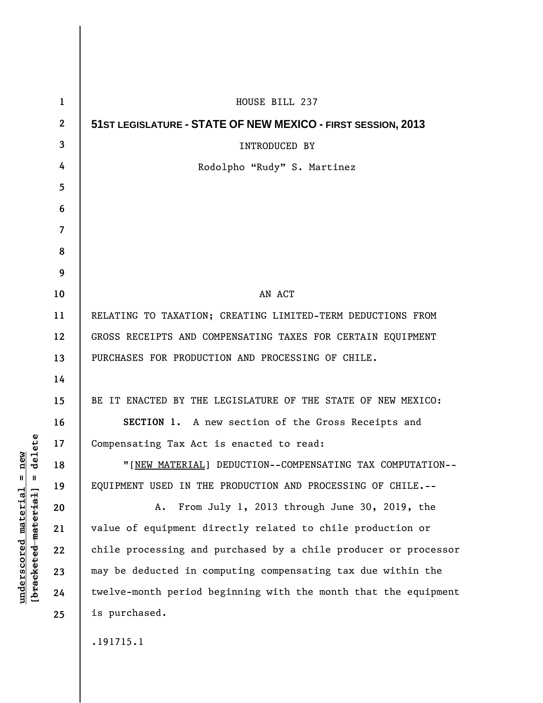| $\mathbf 1$      | HOUSE BILL 237                                                  |
|------------------|-----------------------------------------------------------------|
| $\boldsymbol{2}$ | 51ST LEGISLATURE - STATE OF NEW MEXICO - FIRST SESSION, 2013    |
| 3                | INTRODUCED BY                                                   |
| 4                | Rodolpho "Rudy" S. Martinez                                     |
| 5                |                                                                 |
| 6                |                                                                 |
| 7                |                                                                 |
| 8                |                                                                 |
| 9                |                                                                 |
| 10               | AN ACT                                                          |
| 11               | RELATING TO TAXATION; CREATING LIMITED-TERM DEDUCTIONS FROM     |
| 12               | GROSS RECEIPTS AND COMPENSATING TAXES FOR CERTAIN EQUIPMENT     |
| 13               | PURCHASES FOR PRODUCTION AND PROCESSING OF CHILE.               |
| 14               |                                                                 |
| 15               | BE IT ENACTED BY THE LEGISLATURE OF THE STATE OF NEW MEXICO:    |
| 16               | SECTION 1. A new section of the Gross Receipts and              |
| 17               | Compensating Tax Act is enacted to read:                        |
| 18               | "[NEW MATERIAL] DEDUCTION--COMPENSATING TAX COMPUTATION--       |
| 19               | EQUIPMENT USED IN THE PRODUCTION AND PROCESSING OF CHILE.--     |
| 20               | From July 1, 2013 through June 30, 2019, the<br>Α.              |
| 21               | value of equipment directly related to chile production or      |
| 22               | chile processing and purchased by a chile producer or processor |
| 23               | may be deducted in computing compensating tax due within the    |
| 24               | twelve-month period beginning with the month that the equipment |
| 25               | is purchased.                                                   |
|                  | .191715.1                                                       |
|                  |                                                                 |

**underscored material = new [bracketed material] = delete**

 $[**bracket eted metert et**] = **del et e**$  $underscored material = new$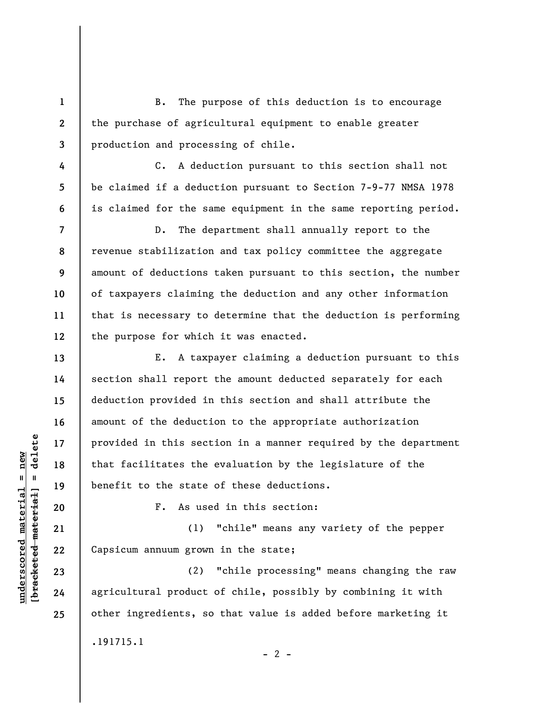B. The purpose of this deduction is to encourage the purchase of agricultural equipment to enable greater production and processing of chile.

C. A deduction pursuant to this section shall not be claimed if a deduction pursuant to Section 7-9-77 NMSA 1978 is claimed for the same equipment in the same reporting period.

D. The department shall annually report to the revenue stabilization and tax policy committee the aggregate amount of deductions taken pursuant to this section, the number of taxpayers claiming the deduction and any other information that is necessary to determine that the deduction is performing the purpose for which it was enacted.

E. A taxpayer claiming a deduction pursuant to this section shall report the amount deducted separately for each deduction provided in this section and shall attribute the amount of the deduction to the appropriate authorization provided in this section in a manner required by the department that facilitates the evaluation by the legislature of the benefit to the state of these deductions.

F. As used in this section:

(1) "chile" means any variety of the pepper Capsicum annuum grown in the state;

(2) "chile processing" means changing the raw agricultural product of chile, possibly by combining it with other ingredients, so that value is added before marketing it .191715.1

 $- 2 -$ 

**1** 

**2** 

**3** 

**4** 

**5** 

**6** 

**7** 

**8** 

**9** 

**10** 

**11** 

**12** 

**13** 

**14** 

**15** 

**16** 

**17** 

**18** 

**19** 

**20** 

**21** 

**22** 

**23** 

**24** 

**25**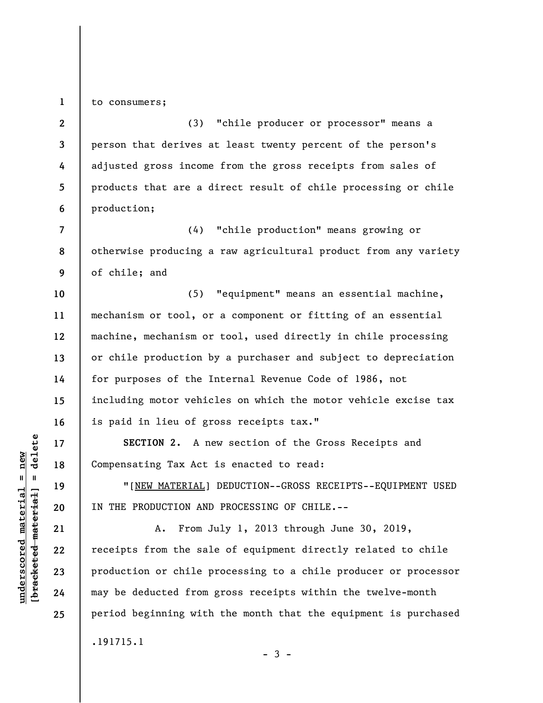to consumers;

**1** 

**2 3 4 5 6**  (3) "chile producer or processor" means a person that derives at least twenty percent of the person's adjusted gross income from the gross receipts from sales of products that are a direct result of chile processing or chile production;

**7 8 9**  (4) "chile production" means growing or otherwise producing a raw agricultural product from any variety of chile; and

**10 11 12 13 14 15 16**  (5) "equipment" means an essential machine, mechanism or tool, or a component or fitting of an essential machine, mechanism or tool, used directly in chile processing or chile production by a purchaser and subject to depreciation for purposes of the Internal Revenue Code of 1986, not including motor vehicles on which the motor vehicle excise tax is paid in lieu of gross receipts tax."

**SECTION 2.** A new section of the Gross Receipts and Compensating Tax Act is enacted to read:

"[NEW MATERIAL] DEDUCTION--GROSS RECEIPTS--EQUIPMENT USED IN THE PRODUCTION AND PROCESSING OF CHILE.--

A. From July 1, 2013 through June 30, 2019, receipts from the sale of equipment directly related to chile production or chile processing to a chile producer or processor may be deducted from gross receipts within the twelve-month period beginning with the month that the equipment is purchased .191715.1

 $\frac{1}{2}$  intereted material = delete **[bracketed material] = delete**  $underscored material = new$ **underscored material = new**

**17** 

**18** 

**19** 

**20** 

**21** 

**22** 

**23** 

**24** 

**25**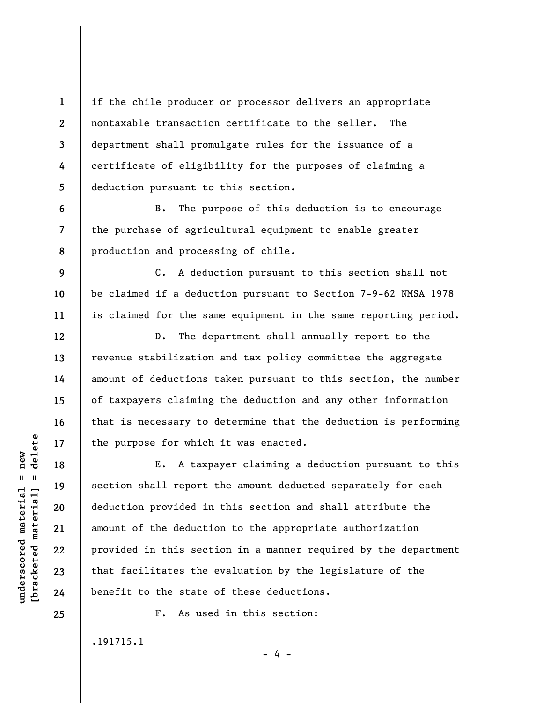if the chile producer or processor delivers an appropriate nontaxable transaction certificate to the seller. The department shall promulgate rules for the issuance of a certificate of eligibility for the purposes of claiming a deduction pursuant to this section.

B. The purpose of this deduction is to encourage the purchase of agricultural equipment to enable greater production and processing of chile.

C. A deduction pursuant to this section shall not be claimed if a deduction pursuant to Section 7-9-62 NMSA 1978 is claimed for the same equipment in the same reporting period.

D. The department shall annually report to the revenue stabilization and tax policy committee the aggregate amount of deductions taken pursuant to this section, the number of taxpayers claiming the deduction and any other information that is necessary to determine that the deduction is performing the purpose for which it was enacted.

E. A taxpayer claiming a deduction pursuant to this section shall report the amount deducted separately for each deduction provided in this section and shall attribute the amount of the deduction to the appropriate authorization provided in this section in a manner required by the department that facilitates the evaluation by the legislature of the benefit to the state of these deductions.

- 4 -

F. As used in this section:

.191715.1

 $\frac{1}{2}$  of  $\frac{1}{2}$  and  $\frac{1}{2}$  and  $\frac{1}{2}$  and  $\frac{1}{2}$  and  $\frac{1}{2}$  and  $\frac{1}{2}$  and  $\frac{1}{2}$  and  $\frac{1}{2}$  and  $\frac{1}{2}$  and  $\frac{1}{2}$  and  $\frac{1}{2}$  and  $\frac{1}{2}$  and  $\frac{1}{2}$  and  $\frac{1}{2}$  and  $\frac{1}{2}$  an **[bracketed material] = delete**  $underscored material = new$ **underscored material = new**

**1** 

**2** 

**3** 

**4** 

**5** 

**6** 

**7** 

**8** 

**9** 

**10** 

**11** 

**12** 

**13** 

**14** 

**15** 

**16** 

**17** 

**18** 

**19** 

**20** 

**21** 

**22** 

**23** 

**24** 

**25**